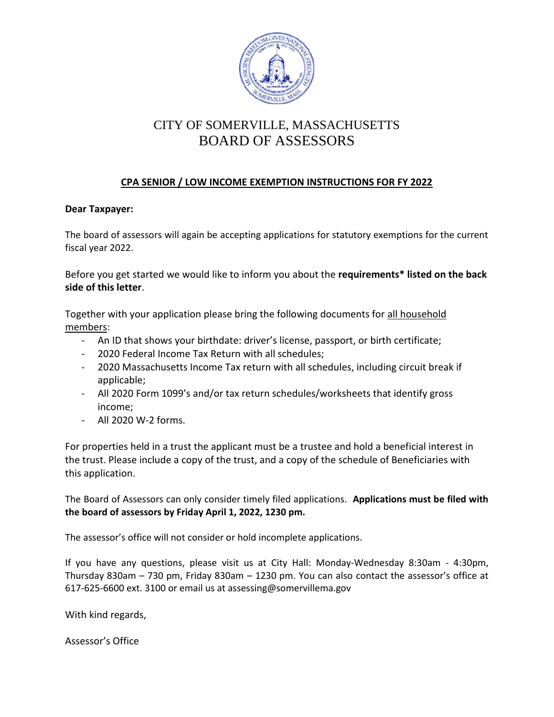

# CITY OF SOMERVILLE, MASSACHUSETTS BOARD OF ASSESSORS

# **CPA SENIOR / LOW INCOME EXEMPTION INSTRUCTIONS FOR FY 2022**

### **Dear Taxpayer:**

The board of assessors will again be accepting applications for statutory exemptions for the current fiscal year 2022.

Before you get started we would like to inform you about the **requirements\* listed on the back side of this letter**.

Together with your application please bring the following documents for all household members:

- An ID that shows your birthdate: driver's license, passport, or birth certificate;
- 2020 Federal Income Tax Return with all schedules;
- 2020 Massachusetts Income Tax return with all schedules, including circuit break if applicable;
- All 2020 Form 1099's and/or tax return schedules/worksheets that identify gross income;
- All 2020 W-2 forms.

For properties held in a trust the applicant must be a trustee and hold a beneficial interest in the trust. Please include a copy of the trust, and a copy of the schedule of Beneficiaries with this application.

The Board of Assessors can only consider timely filed applications. **Applications must be filed with the board of assessors by Friday April 1, 2022, 1230 pm.** 

The assessor's office will not consider or hold incomplete applications.

If you have any questions, please visit us at City Hall: Monday-Wednesday 8:30am - 4:30pm, Thursday 830am – 730 pm, Friday 830am – 1230 pm. You can also contact the assessor's office at 617-625-6600 ext. 3100 or email us at assessing@somervillema.gov

With kind regards,

Assessor's Office